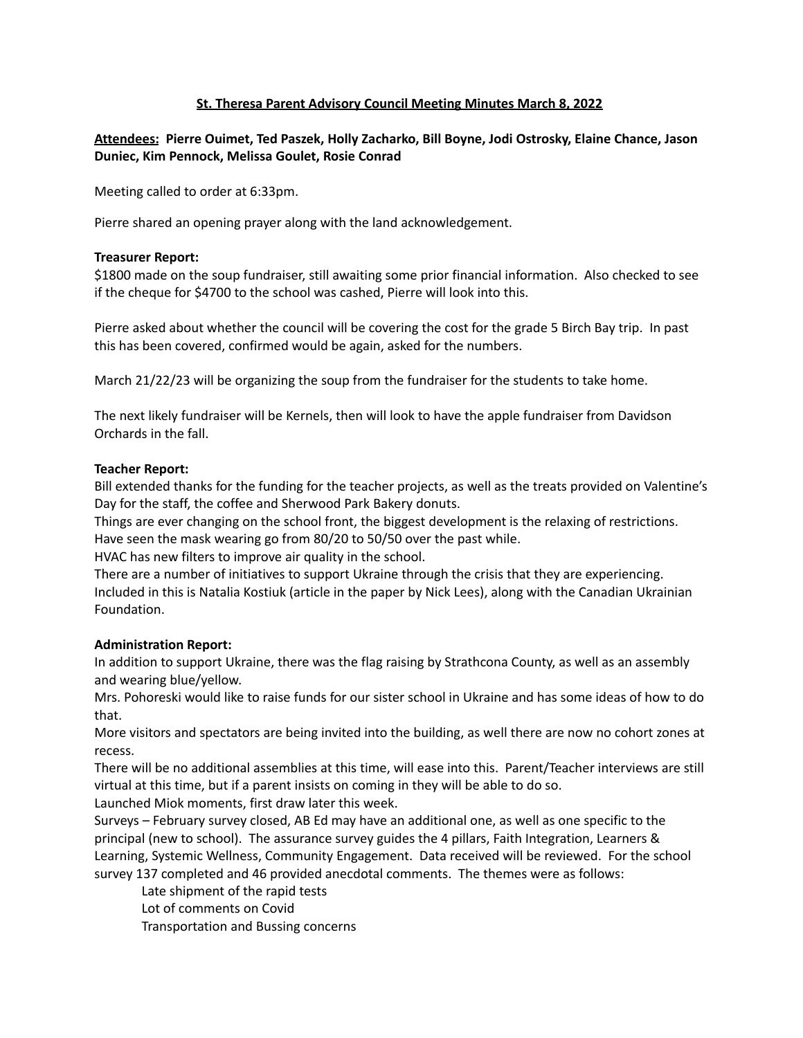# **St. Theresa Parent Advisory Council Meeting Minutes March 8, 2022**

# **Attendees: Pierre Ouimet, Ted Paszek, Holly Zacharko, Bill Boyne, Jodi Ostrosky, Elaine Chance, Jason Duniec, Kim Pennock, Melissa Goulet, Rosie Conrad**

Meeting called to order at 6:33pm.

Pierre shared an opening prayer along with the land acknowledgement.

## **Treasurer Report:**

\$1800 made on the soup fundraiser, still awaiting some prior financial information. Also checked to see if the cheque for \$4700 to the school was cashed, Pierre will look into this.

Pierre asked about whether the council will be covering the cost for the grade 5 Birch Bay trip. In past this has been covered, confirmed would be again, asked for the numbers.

March 21/22/23 will be organizing the soup from the fundraiser for the students to take home.

The next likely fundraiser will be Kernels, then will look to have the apple fundraiser from Davidson Orchards in the fall.

## **Teacher Report:**

Bill extended thanks for the funding for the teacher projects, as well as the treats provided on Valentine's Day for the staff, the coffee and Sherwood Park Bakery donuts.

Things are ever changing on the school front, the biggest development is the relaxing of restrictions. Have seen the mask wearing go from 80/20 to 50/50 over the past while.

HVAC has new filters to improve air quality in the school.

There are a number of initiatives to support Ukraine through the crisis that they are experiencing. Included in this is Natalia Kostiuk (article in the paper by Nick Lees), along with the Canadian Ukrainian Foundation.

## **Administration Report:**

In addition to support Ukraine, there was the flag raising by Strathcona County, as well as an assembly and wearing blue/yellow.

Mrs. Pohoreski would like to raise funds for our sister school in Ukraine and has some ideas of how to do that.

More visitors and spectators are being invited into the building, as well there are now no cohort zones at recess.

There will be no additional assemblies at this time, will ease into this. Parent/Teacher interviews are still virtual at this time, but if a parent insists on coming in they will be able to do so.

Launched Miok moments, first draw later this week.

Surveys – February survey closed, AB Ed may have an additional one, as well as one specific to the principal (new to school). The assurance survey guides the 4 pillars, Faith Integration, Learners & Learning, Systemic Wellness, Community Engagement. Data received will be reviewed. For the school survey 137 completed and 46 provided anecdotal comments. The themes were as follows:

Late shipment of the rapid tests

Lot of comments on Covid

Transportation and Bussing concerns